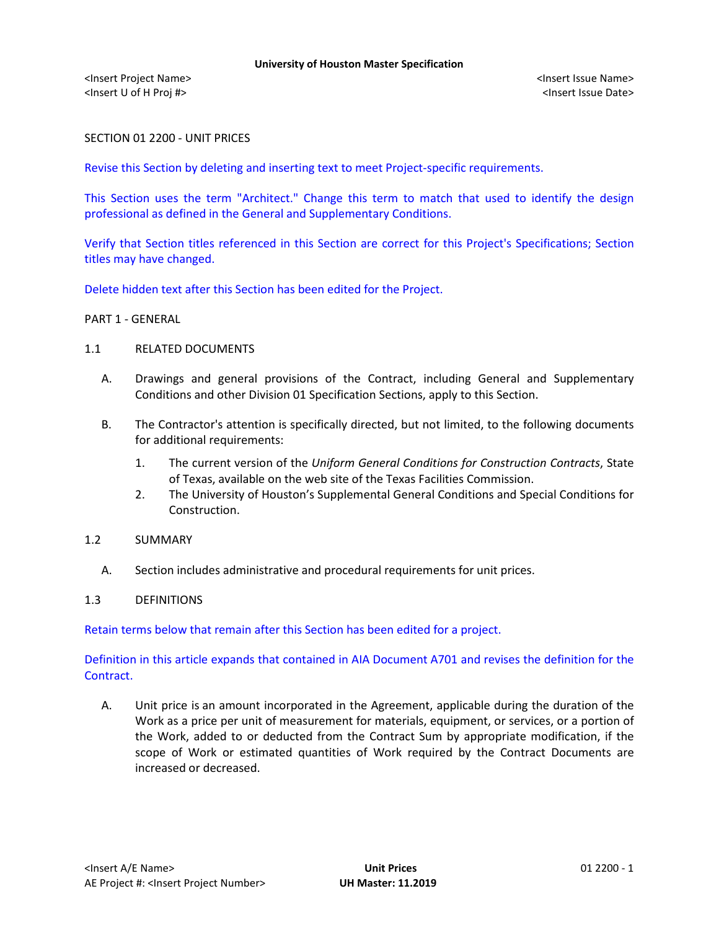<Insert Project Name> <Insert Issue Name> <Insert U of H Proj #> <Insert Issue Date>

SECTION 01 2200 - UNIT PRICES

Revise this Section by deleting and inserting text to meet Project-specific requirements.

This Section uses the term "Architect." Change this term to match that used to identify the design professional as defined in the General and Supplementary Conditions.

Verify that Section titles referenced in this Section are correct for this Project's Specifications; Section titles may have changed.

Delete hidden text after this Section has been edited for the Project.

PART 1 - GENERAL

# 1.1 RELATED DOCUMENTS

- A. Drawings and general provisions of the Contract, including General and Supplementary Conditions and other Division 01 Specification Sections, apply to this Section.
- B. The Contractor's attention is specifically directed, but not limited, to the following documents for additional requirements:
	- 1. The current version of the *Uniform General Conditions for Construction Contracts*, State of Texas, available on the web site of the Texas Facilities Commission.
	- 2. The University of Houston's Supplemental General Conditions and Special Conditions for Construction.

#### 1.2 SUMMARY

A. Section includes administrative and procedural requirements for unit prices.

# 1.3 DEFINITIONS

Retain terms below that remain after this Section has been edited for a project.

Definition in this article expands that contained in AIA Document A701 and revises the definition for the Contract.

A. Unit price is an amount incorporated in the Agreement, applicable during the duration of the Work as a price per unit of measurement for materials, equipment, or services, or a portion of the Work, added to or deducted from the Contract Sum by appropriate modification, if the scope of Work or estimated quantities of Work required by the Contract Documents are increased or decreased.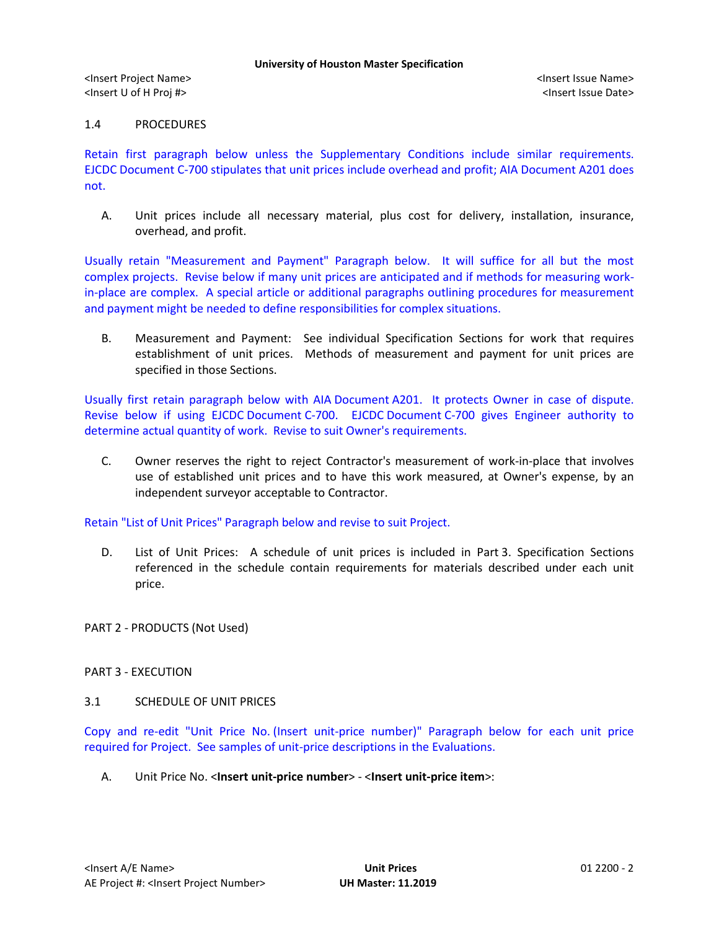<Insert Project Name> <Insert Issue Name> <Insert U of H Proj #> <Insert Issue Date>

# 1.4 PROCEDURES

Retain first paragraph below unless the Supplementary Conditions include similar requirements. EJCDC Document C-700 stipulates that unit prices include overhead and profit; AIA Document A201 does not.

A. Unit prices include all necessary material, plus cost for delivery, installation, insurance, overhead, and profit.

Usually retain "Measurement and Payment" Paragraph below. It will suffice for all but the most complex projects. Revise below if many unit prices are anticipated and if methods for measuring workin-place are complex. A special article or additional paragraphs outlining procedures for measurement and payment might be needed to define responsibilities for complex situations.

B. Measurement and Payment: See individual Specification Sections for work that requires establishment of unit prices. Methods of measurement and payment for unit prices are specified in those Sections.

Usually first retain paragraph below with AIA Document A201. It protects Owner in case of dispute. Revise below if using EJCDC Document C-700. EJCDC Document C-700 gives Engineer authority to determine actual quantity of work. Revise to suit Owner's requirements.

C. Owner reserves the right to reject Contractor's measurement of work-in-place that involves use of established unit prices and to have this work measured, at Owner's expense, by an independent surveyor acceptable to Contractor.

Retain "List of Unit Prices" Paragraph below and revise to suit Project.

D. List of Unit Prices: A schedule of unit prices is included in Part 3. Specification Sections referenced in the schedule contain requirements for materials described under each unit price.

PART 2 - PRODUCTS (Not Used)

# PART 3 - EXECUTION

#### 3.1 SCHEDULE OF UNIT PRICES

Copy and re-edit "Unit Price No. (Insert unit-price number)" Paragraph below for each unit price required for Project. See samples of unit-price descriptions in the Evaluations.

A. Unit Price No. <**Insert unit-price number**> - <**Insert unit-price item**>: